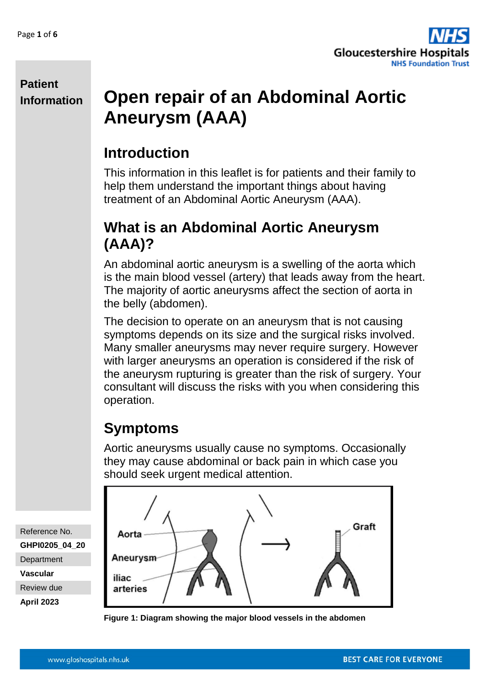

# **Open repair of an Abdominal Aortic Aneurysm (AAA)**

## **Introduction**

This information in this leaflet is for patients and their family to help them understand the important things about having treatment of an Abdominal Aortic Aneurysm (AAA).

## **What is an Abdominal Aortic Aneurysm (AAA)?**

An abdominal aortic aneurysm is a swelling of the aorta which is the main blood vessel (artery) that leads away from the heart. The majority of aortic aneurysms affect the section of aorta in the belly (abdomen).

The decision to operate on an aneurysm that is not causing symptoms depends on its size and the surgical risks involved. Many smaller aneurysms may never require surgery. However with larger aneurysms an operation is considered if the risk of the aneurysm rupturing is greater than the risk of surgery. Your consultant will discuss the risks with you when considering this operation.

# **Symptoms**

Aortic aneurysms usually cause no symptoms. Occasionally they may cause abdominal or back pain in which case you should seek urgent medical attention.



**Figure 1: Diagram showing the major blood vessels in the abdomen** 

Reference No. **GHPI0205\_04\_20 Department Vascular** Review due

**April 2023**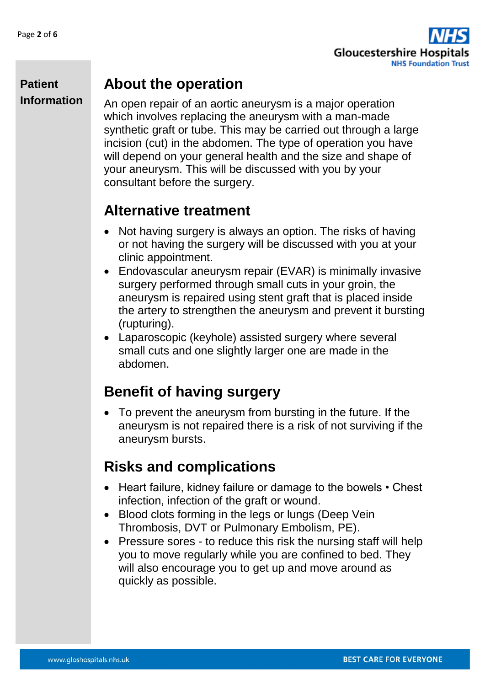

#### **About the operation**

An open repair of an aortic aneurysm is a major operation which involves replacing the aneurysm with a man-made synthetic graft or tube. This may be carried out through a large incision (cut) in the abdomen. The type of operation you have will depend on your general health and the size and shape of your aneurysm. This will be discussed with you by your consultant before the surgery.

### **Alternative treatment**

- Not having surgery is always an option. The risks of having or not having the surgery will be discussed with you at your clinic appointment.
- Endovascular aneurysm repair (EVAR) is minimally invasive surgery performed through small cuts in your groin, the aneurysm is repaired using stent graft that is placed inside the artery to strengthen the aneurysm and prevent it bursting (rupturing).
- Laparoscopic (keyhole) assisted surgery where several small cuts and one slightly larger one are made in the abdomen.

## **Benefit of having surgery**

 To prevent the aneurysm from bursting in the future. If the aneurysm is not repaired there is a risk of not surviving if the aneurysm bursts.

## **Risks and complications**

- Heart failure, kidney failure or damage to the bowels Chest infection, infection of the graft or wound.
- Blood clots forming in the legs or lungs (Deep Vein Thrombosis, DVT or Pulmonary Embolism, PE).
- Pressure sores to reduce this risk the nursing staff will help you to move regularly while you are confined to bed. They will also encourage you to get up and move around as quickly as possible.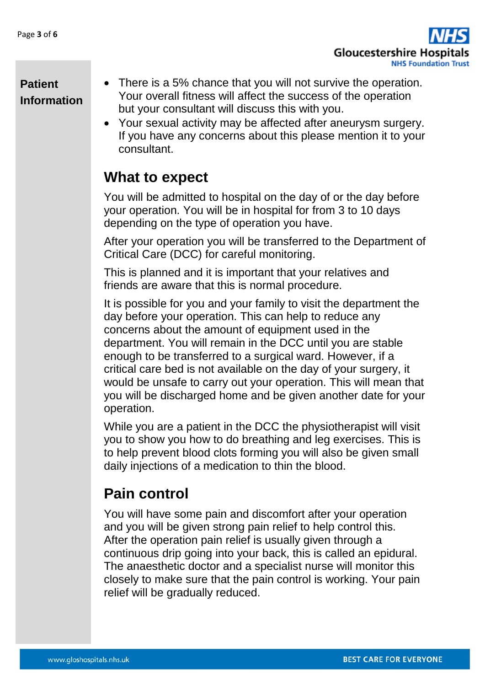

- There is a 5% chance that you will not survive the operation. Your overall fitness will affect the success of the operation but your consultant will discuss this with you.
	- Your sexual activity may be affected after aneurysm surgery. If you have any concerns about this please mention it to your consultant.

## **What to expect**

You will be admitted to hospital on the day of or the day before your operation. You will be in hospital for from 3 to 10 days depending on the type of operation you have.

After your operation you will be transferred to the Department of Critical Care (DCC) for careful monitoring.

This is planned and it is important that your relatives and friends are aware that this is normal procedure.

It is possible for you and your family to visit the department the day before your operation. This can help to reduce any concerns about the amount of equipment used in the department. You will remain in the DCC until you are stable enough to be transferred to a surgical ward. However, if a critical care bed is not available on the day of your surgery, it would be unsafe to carry out your operation. This will mean that you will be discharged home and be given another date for your operation.

While you are a patient in the DCC the physiotherapist will visit you to show you how to do breathing and leg exercises. This is to help prevent blood clots forming you will also be given small daily injections of a medication to thin the blood.

# **Pain control**

You will have some pain and discomfort after your operation and you will be given strong pain relief to help control this. After the operation pain relief is usually given through a continuous drip going into your back, this is called an epidural. The anaesthetic doctor and a specialist nurse will monitor this closely to make sure that the pain control is working. Your pain relief will be gradually reduced.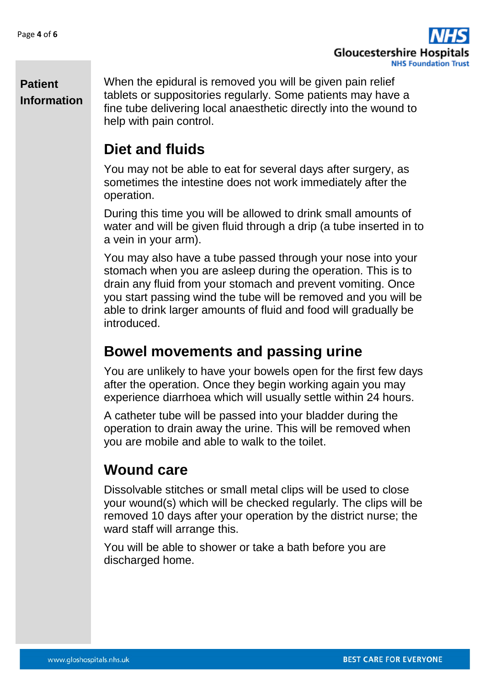

When the epidural is removed you will be given pain relief tablets or suppositories regularly. Some patients may have a fine tube delivering local anaesthetic directly into the wound to help with pain control.

### **Diet and fluids**

You may not be able to eat for several days after surgery, as sometimes the intestine does not work immediately after the operation.

During this time you will be allowed to drink small amounts of water and will be given fluid through a drip (a tube inserted in to a vein in your arm).

You may also have a tube passed through your nose into your stomach when you are asleep during the operation. This is to drain any fluid from your stomach and prevent vomiting. Once you start passing wind the tube will be removed and you will be able to drink larger amounts of fluid and food will gradually be introduced.

#### **Bowel movements and passing urine**

You are unlikely to have your bowels open for the first few days after the operation. Once they begin working again you may experience diarrhoea which will usually settle within 24 hours.

A catheter tube will be passed into your bladder during the operation to drain away the urine. This will be removed when you are mobile and able to walk to the toilet.

## **Wound care**

Dissolvable stitches or small metal clips will be used to close your wound(s) which will be checked regularly. The clips will be removed 10 days after your operation by the district nurse; the ward staff will arrange this.

You will be able to shower or take a bath before you are discharged home.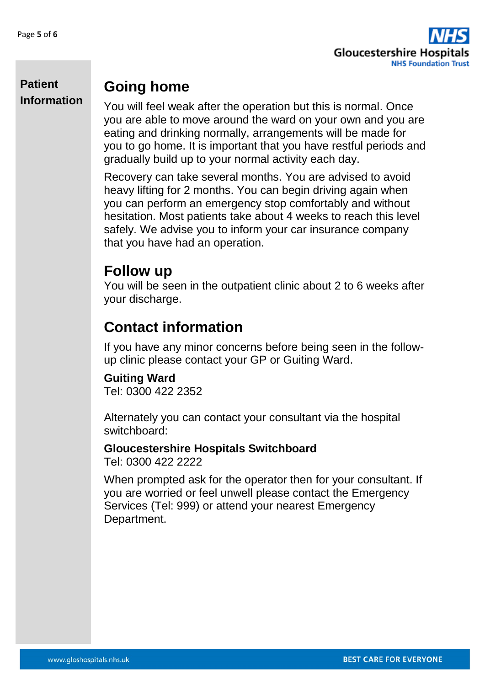

### **Going home**

You will feel weak after the operation but this is normal. Once you are able to move around the ward on your own and you are eating and drinking normally, arrangements will be made for you to go home. It is important that you have restful periods and gradually build up to your normal activity each day.

Recovery can take several months. You are advised to avoid heavy lifting for 2 months. You can begin driving again when you can perform an emergency stop comfortably and without hesitation. Most patients take about 4 weeks to reach this level safely. We advise you to inform your car insurance company that you have had an operation.

#### **Follow up**

You will be seen in the outpatient clinic about 2 to 6 weeks after your discharge.

# **Contact information**

If you have any minor concerns before being seen in the followup clinic please contact your GP or Guiting Ward.

#### **Guiting Ward**

Tel: 0300 422 2352

Alternately you can contact your consultant via the hospital switchboard:

#### **Gloucestershire Hospitals Switchboard**  Tel: 0300 422 2222

When prompted ask for the operator then for your consultant. If you are worried or feel unwell please contact the Emergency Services (Tel: 999) or attend your nearest Emergency Department.